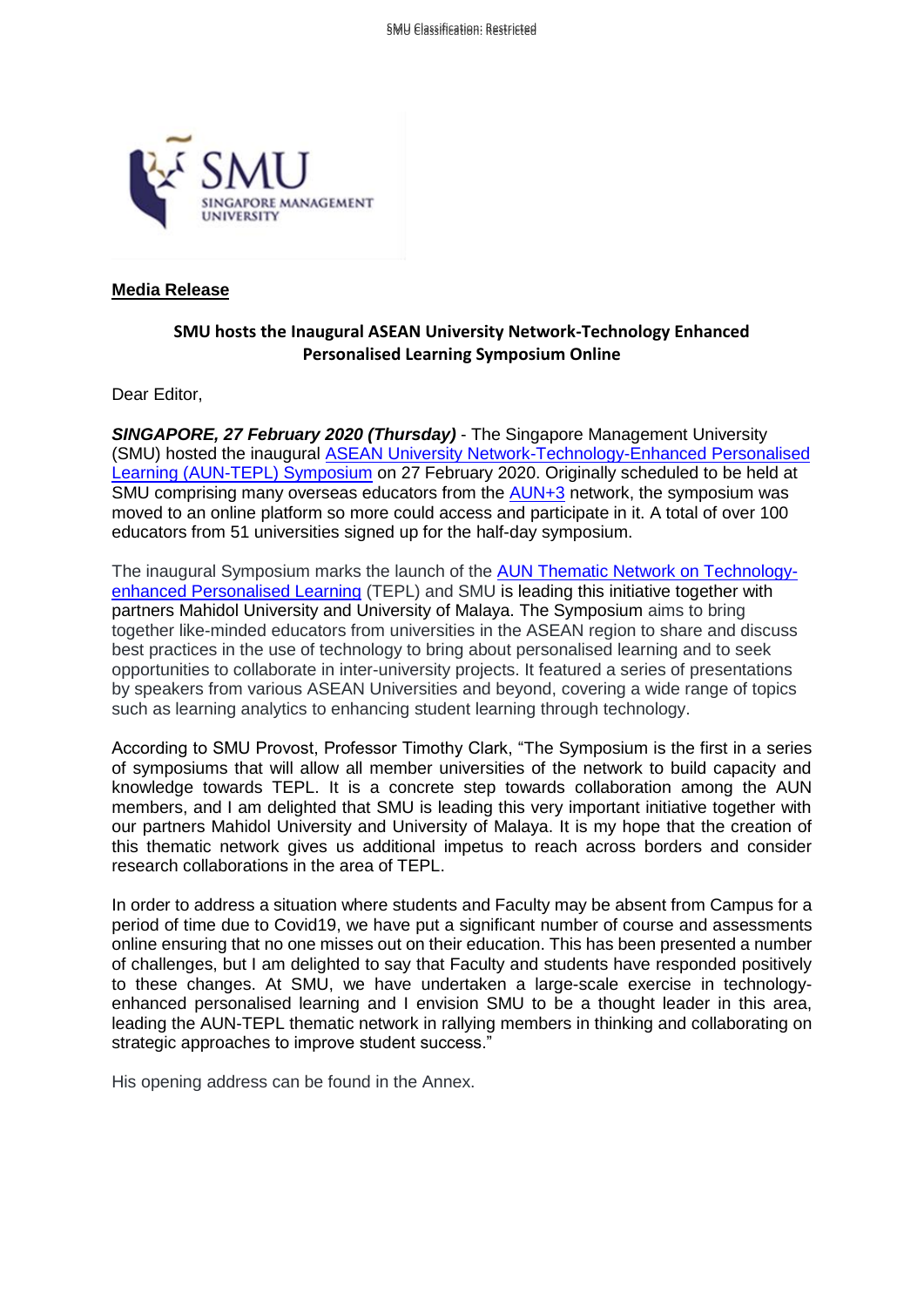

## **Media Release**

## **SMU hosts the Inaugural ASEAN University Network-Technology Enhanced Personalised Learning Symposium Online**

Dear Editor,

*SINGAPORE, 27 February 2020 (Thursday)* - The Singapore Management University (SMU) hosted the inaugural [ASEAN University Network-Technology-Enhanced Personalised](https://www.auntepl.com/inaugural-aun-tepl-symposium)  Learning [\(AUN-TEPL\) Symposium](https://www.auntepl.com/inaugural-aun-tepl-symposium) on 27 February 2020. Originally scheduled to be held at SMU comprising many overseas educators from the [AUN+3](http://www.aunsec.org/) network, the symposium was moved to an online platform so more could access and participate in it. A total of over 100 educators from 51 universities signed up for the half-day symposium.

The inaugural Symposium marks the launch of the [AUN Thematic Network on Technology](https://www.auntepl.com/)[enhanced Personalised Learning](https://www.auntepl.com/) (TEPL) and SMU is leading this initiative together with partners Mahidol University and University of Malaya. The Symposium aims to bring together like-minded educators from universities in the ASEAN region to share and discuss best practices in the use of technology to bring about personalised learning and to seek opportunities to collaborate in inter-university projects. It featured a series of presentations by speakers from various ASEAN Universities and beyond, covering a wide range of topics such as learning analytics to enhancing student learning through technology.

According to SMU Provost, Professor Timothy Clark, "The Symposium is the first in a series of symposiums that will allow all member universities of the network to build capacity and knowledge towards TEPL. It is a concrete step towards collaboration among the AUN members, and I am delighted that SMU is leading this very important initiative together with our partners Mahidol University and University of Malaya. It is my hope that the creation of this thematic network gives us additional impetus to reach across borders and consider research collaborations in the area of TEPL.

In order to address a situation where students and Faculty may be absent from Campus for a period of time due to Covid19, we have put a significant number of course and assessments online ensuring that no one misses out on their education. This has been presented a number of challenges, but I am delighted to say that Faculty and students have responded positively to these changes. At SMU, we have undertaken a large-scale exercise in technologyenhanced personalised learning and I envision SMU to be a thought leader in this area, leading the AUN-TEPL thematic network in rallying members in thinking and collaborating on strategic approaches to improve student success."

His opening address can be found in the Annex.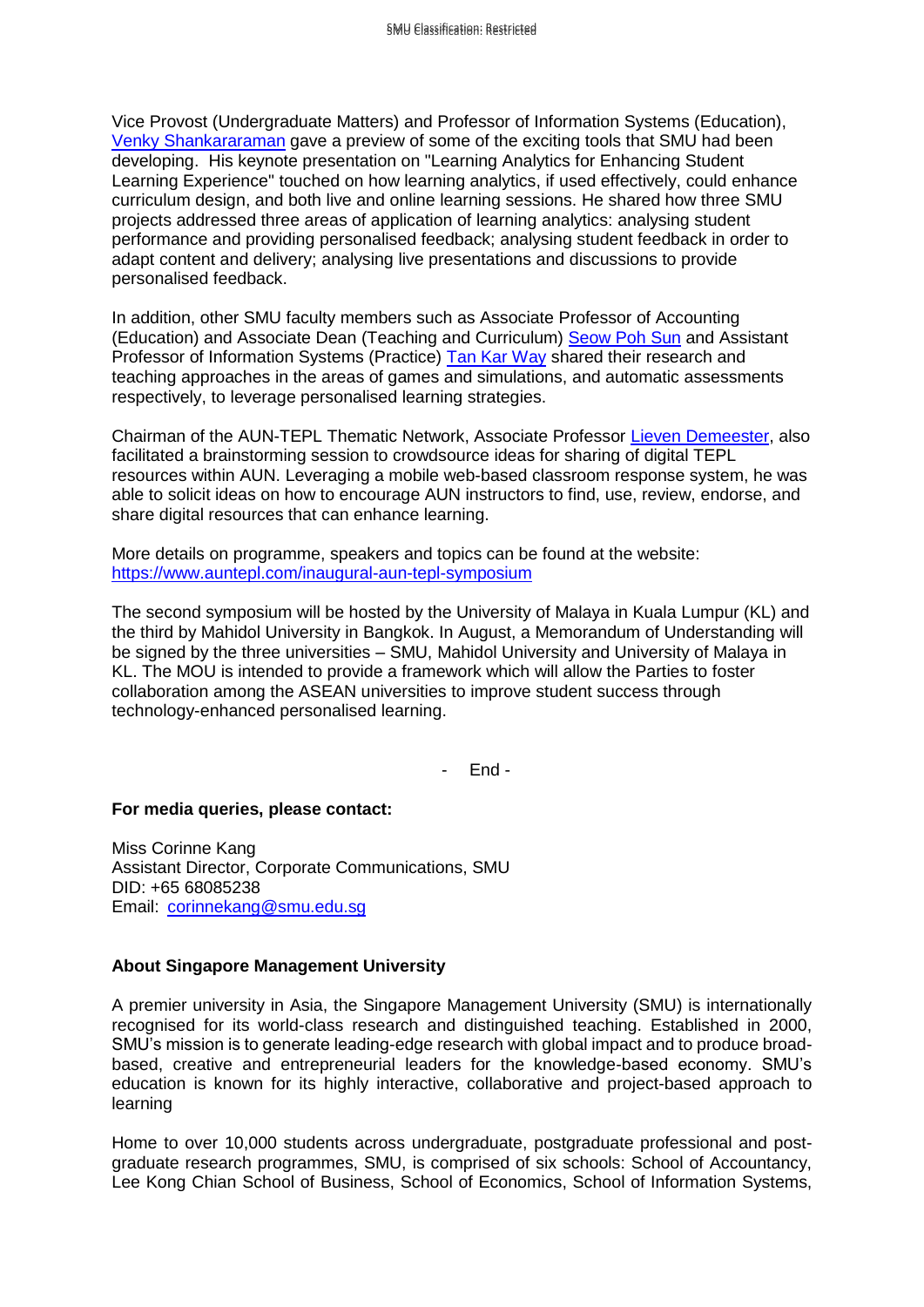Vice Provost (Undergraduate Matters) and Professor of Information Systems (Education), Venky [Shankararaman](https://www.smu.edu.sg/faculty/profile/9637/Venky-SHANKARARAMAN) gave a preview of some of the exciting tools that SMU had been developing. His keynote presentation on "Learning Analytics for Enhancing Student Learning Experience" touched on how learning analytics, if used effectively, could enhance curriculum design, and both live and online learning sessions. He shared how three SMU projects addressed three areas of application of learning analytics: analysing student performance and providing personalised feedback; analysing student feedback in order to adapt content and delivery; analysing live presentations and discussions to provide personalised feedback.

In addition, other SMU faculty members such as Associate Professor of Accounting (Education) and Associate Dean (Teaching and Curriculum) [Seow Poh Sun](https://accountancy.smu.edu.sg/faculty/profile/76099/SEOW-Poh-Sun) and Assistant Professor of Information Systems (Practice) [Tan Kar Way](https://www.smu.edu.sg/faculty/profile/104156/TAN-Kar-Way) shared their research and teaching approaches in the areas of games and simulations, and automatic assessments respectively, to leverage personalised learning strategies.

Chairman of the AUN-TEPL Thematic Network, Associate Professor [Lieven Demeester,](https://www.smu.edu.sg/faculty/profile/9478/DEMEESTER-Lieven) also facilitated a brainstorming session to crowdsource ideas for sharing of digital TEPL resources within AUN. Leveraging a mobile web-based classroom response system, he was able to solicit ideas on how to encourage AUN instructors to find, use, review, endorse, and share digital resources that can enhance learning.

More details on programme, speakers and topics can be found at the website: <https://www.auntepl.com/inaugural-aun-tepl-symposium>

The second symposium will be hosted by the University of Malaya in Kuala Lumpur (KL) and the third by Mahidol University in Bangkok. In August, a Memorandum of Understanding will be signed by the three universities – SMU, Mahidol University and University of Malaya in KL. The MOU is intended to provide a framework which will allow the Parties to foster collaboration among the ASEAN universities to improve student success through technology-enhanced personalised learning.

- End -

## **For media queries, please contact:**

Miss Corinne Kang Assistant Director, Corporate Communications, SMU DID: +65 68085238 Email: [corinnekang@smu.edu.sg](mailto:corinnekang@smu.edu.sg)

## **About Singapore Management University**

A premier university in Asia, the Singapore Management University (SMU) is internationally recognised for its world-class research and distinguished teaching. Established in 2000, SMU's mission is to generate leading-edge research with global impact and to produce broadbased, creative and entrepreneurial leaders for the knowledge-based economy. SMU's education is known for its highly interactive, collaborative and project-based approach to learning

Home to over 10,000 students across undergraduate, postgraduate professional and postgraduate research programmes, SMU, is comprised of six schools: School of Accountancy, Lee Kong Chian School of Business, School of Economics, School of Information Systems,